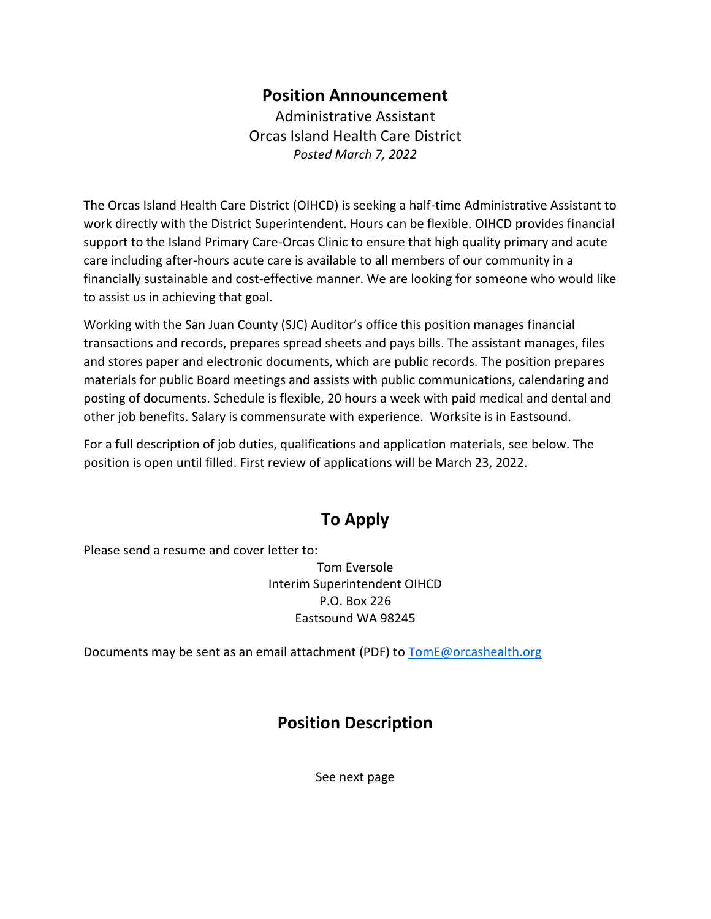# **Position Announcement**

Administrative Assistant Orcas Island Health Care District *Posted March 7, 2022*

The Orcas Island Health Care District (OIHCD) is seeking a half-time Administrative Assistant to work directly with the District Superintendent. Hours can be flexible. OIHCD provides financial support to the Island Primary Care-Orcas Clinic to ensure that high quality primary and acute care including after-hours acute care is available to all members of our community in a financially sustainable and cost-effective manner. We are looking for someone who would like to assist us in achieving that goal.

Working with the San Juan County (SJC) Auditor's office this position manages financial transactions and records, prepares spread sheets and pays bills. The assistant manages, files and stores paper and electronic documents, which are public records. The position prepares materials for public Board meetings and assists with public communications, calendaring and posting of documents. Schedule is flexible, 20 hours a week with paid medical and dental and other job benefits. Salary is commensurate with experience. Worksite is in Eastsound.

For a full description of job duties, qualifications and application materials, see below. The position is open until filled. First review of applications will be March 23, 2022.

# **To Apply**

Please send a resume and cover letter to:

Tom Eversole Interim Superintendent OIHCD P.O. Box 226 Eastsound WA 98245

Documents may be sent as an email attachment (PDF) t[o TomE@orcashealth.org](mailto:TomE@orcashealth.org)

# **Position Description**

See next page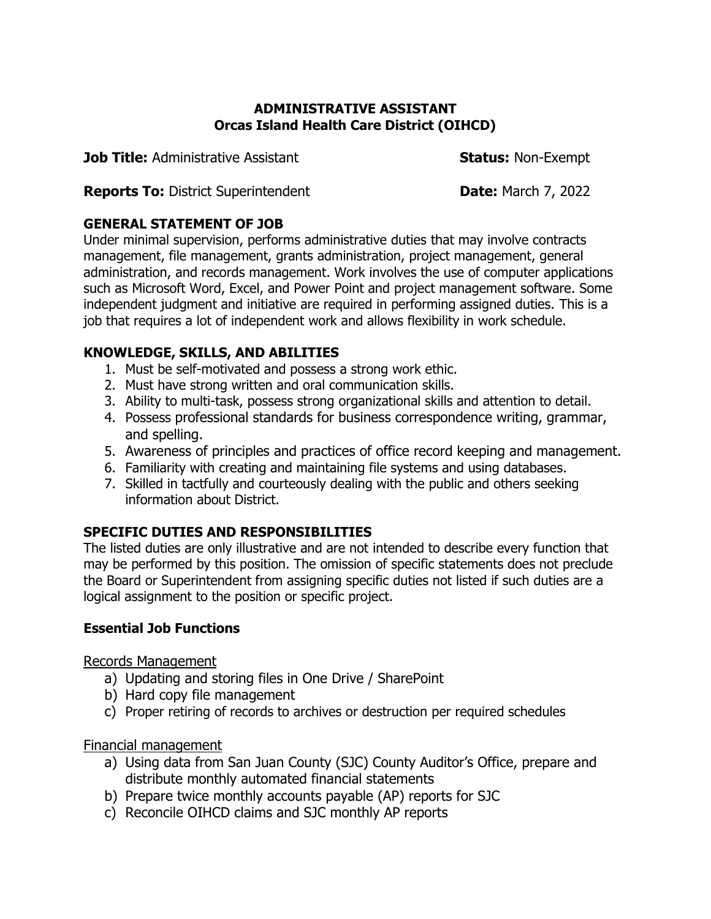#### **ADMINISTRATIVE ASSISTANT Orcas Island Health Care District (OIHCD)**

**Job Title:** Administrative Assistant **Status:** Non-Exempt

**Reports To:** District Superintendent **Date:** March 7, 2022

### **GENERAL STATEMENT OF JOB**

Under minimal supervision, performs administrative duties that may involve contracts management, file management, grants administration, project management, general administration, and records management. Work involves the use of computer applications such as Microsoft Word, Excel, and Power Point and project management software. Some independent judgment and initiative are required in performing assigned duties. This is a job that requires a lot of independent work and allows flexibility in work schedule.

# **KNOWLEDGE, SKILLS, AND ABILITIES**

- 1. Must be self-motivated and possess a strong work ethic.
- 2. Must have strong written and oral communication skills.
- 3. Ability to multi-task, possess strong organizational skills and attention to detail.
- 4. Possess professional standards for business correspondence writing, grammar, and spelling.
- 5. Awareness of principles and practices of office record keeping and management.
- 6. Familiarity with creating and maintaining file systems and using databases.
- 7. Skilled in tactfully and courteously dealing with the public and others seeking information about District.

# **SPECIFIC DUTIES AND RESPONSIBILITIES**

The listed duties are only illustrative and are not intended to describe every function that may be performed by this position. The omission of specific statements does not preclude the Board or Superintendent from assigning specific duties not listed if such duties are a logical assignment to the position or specific project.

## **Essential Job Functions**

Records Management

- a) Updating and storing files in One Drive / SharePoint
- b) Hard copy file management
- c) Proper retiring of records to archives or destruction per required schedules

## Financial management

- a) Using data from San Juan County (SJC) County Auditor's Office, prepare and distribute monthly automated financial statements
- b) Prepare twice monthly accounts payable (AP) reports for SJC
- c) Reconcile OIHCD claims and SJC monthly AP reports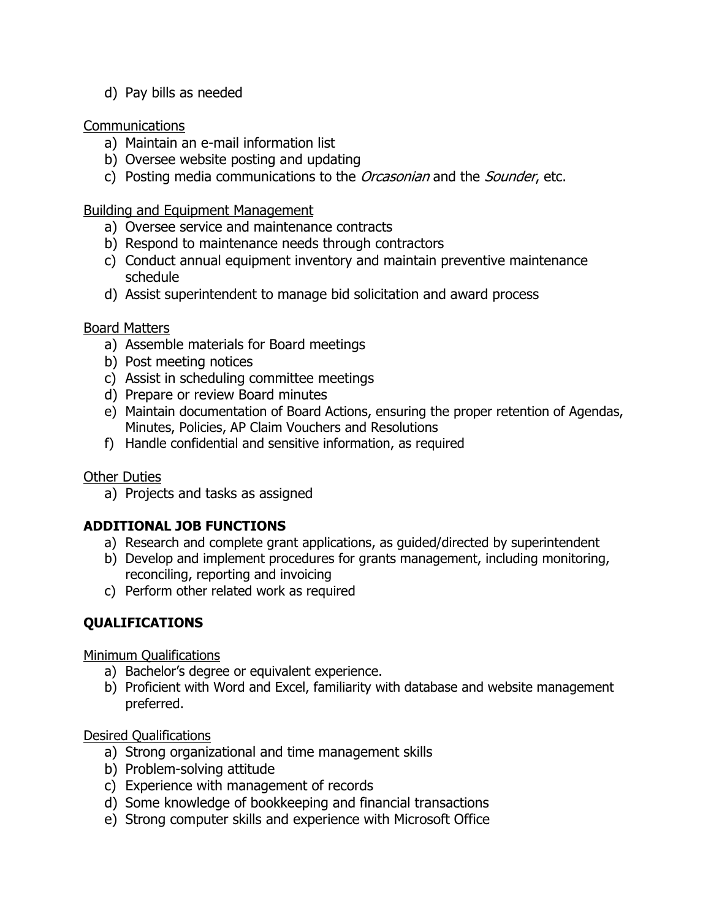d) Pay bills as needed

### Communications

- a) Maintain an e-mail information list
- b) Oversee website posting and updating
- c) Posting media communications to the *Orcasonian* and the *Sounder*, etc.

Building and Equipment Management

- a) Oversee service and maintenance contracts
- b) Respond to maintenance needs through contractors
- c) Conduct annual equipment inventory and maintain preventive maintenance schedule
- d) Assist superintendent to manage bid solicitation and award process

#### Board Matters

- a) Assemble materials for Board meetings
- b) Post meeting notices
- c) Assist in scheduling committee meetings
- d) Prepare or review Board minutes
- e) Maintain documentation of Board Actions, ensuring the proper retention of Agendas, Minutes, Policies, AP Claim Vouchers and Resolutions
- f) Handle confidential and sensitive information, as required

### Other Duties

a) Projects and tasks as assigned

### **ADDITIONAL JOB FUNCTIONS**

- a) Research and complete grant applications, as guided/directed by superintendent
- b) Develop and implement procedures for grants management, including monitoring, reconciling, reporting and invoicing
- c) Perform other related work as required

### **QUALIFICATIONS**

Minimum Qualifications

- a) Bachelor's degree or equivalent experience.
- b) Proficient with Word and Excel, familiarity with database and website management preferred.

Desired Qualifications

- a) Strong organizational and time management skills
- b) Problem-solving attitude
- c) Experience with management of records
- d) Some knowledge of bookkeeping and financial transactions
- e) Strong computer skills and experience with Microsoft Office